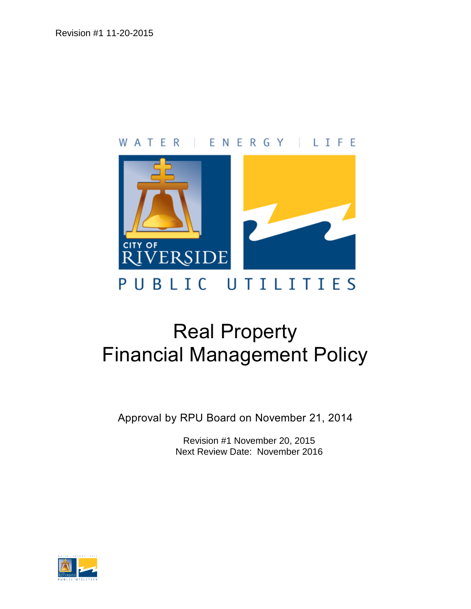# WATER | ENERGY | LIFE



# Real Property Financial Management Policy

Approval by RPU Board on November 21, 2014

Revision #1 November 20, 2015 Next Review Date: November 2016

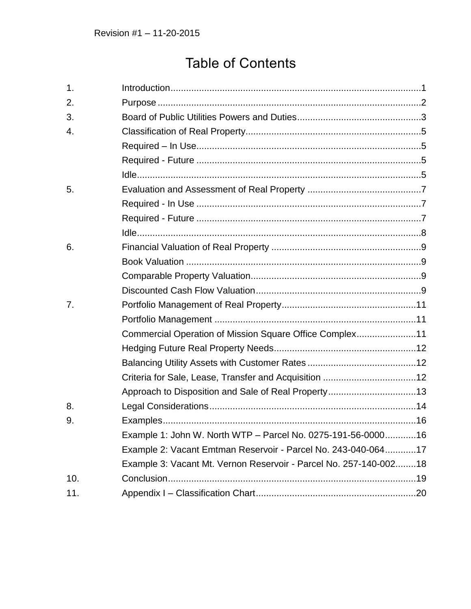# **Table of Contents**

| 1.  |                                                                   |  |
|-----|-------------------------------------------------------------------|--|
| 2.  |                                                                   |  |
| 3.  |                                                                   |  |
| 4.  |                                                                   |  |
|     |                                                                   |  |
|     |                                                                   |  |
|     |                                                                   |  |
| 5.  |                                                                   |  |
|     |                                                                   |  |
|     |                                                                   |  |
|     |                                                                   |  |
| 6.  |                                                                   |  |
|     |                                                                   |  |
|     |                                                                   |  |
|     |                                                                   |  |
| 7.  |                                                                   |  |
|     |                                                                   |  |
|     | Commercial Operation of Mission Square Office Complex11           |  |
|     |                                                                   |  |
|     |                                                                   |  |
|     |                                                                   |  |
|     | Approach to Disposition and Sale of Real Property13               |  |
| 8.  |                                                                   |  |
| 9.  |                                                                   |  |
|     | Example 1: John W. North WTP - Parcel No. 0275-191-56-000016      |  |
|     | Example 2: Vacant Emtman Reservoir - Parcel No. 243-040-06417     |  |
|     | Example 3: Vacant Mt. Vernon Reservoir - Parcel No. 257-140-00218 |  |
| 10. |                                                                   |  |
| 11. |                                                                   |  |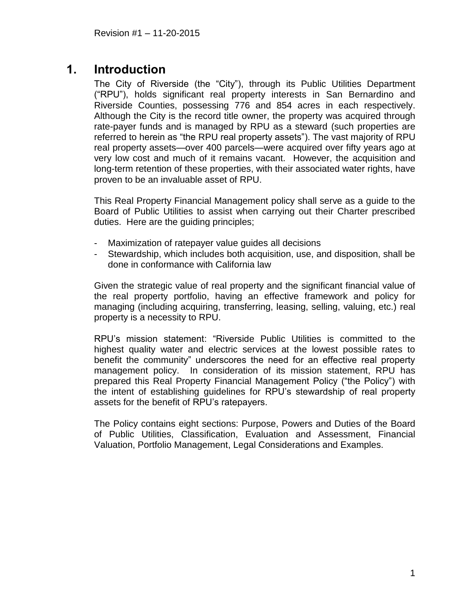# <span id="page-2-0"></span>**1. Introduction**

The City of Riverside (the "City"), through its Public Utilities Department ("RPU"), holds significant real property interests in San Bernardino and Riverside Counties, possessing 776 and 854 acres in each respectively. Although the City is the record title owner, the property was acquired through rate-payer funds and is managed by RPU as a steward (such properties are referred to herein as "the RPU real property assets"). The vast majority of RPU real property assets—over 400 parcels—were acquired over fifty years ago at very low cost and much of it remains vacant. However, the acquisition and long-term retention of these properties, with their associated water rights, have proven to be an invaluable asset of RPU.

This Real Property Financial Management policy shall serve as a guide to the Board of Public Utilities to assist when carrying out their Charter prescribed duties. Here are the guiding principles;

- Maximization of ratepayer value guides all decisions
- Stewardship, which includes both acquisition, use, and disposition, shall be done in conformance with California law

Given the strategic value of real property and the significant financial value of the real property portfolio, having an effective framework and policy for managing (including acquiring, transferring, leasing, selling, valuing, etc.) real property is a necessity to RPU.

RPU's mission statement: "Riverside Public Utilities is committed to the highest quality water and electric services at the lowest possible rates to benefit the community" underscores the need for an effective real property management policy. In consideration of its mission statement, RPU has prepared this Real Property Financial Management Policy ("the Policy") with the intent of establishing guidelines for RPU's stewardship of real property assets for the benefit of RPU's ratepayers.

The Policy contains eight sections: Purpose, Powers and Duties of the Board of Public Utilities, Classification, Evaluation and Assessment, Financial Valuation, Portfolio Management, Legal Considerations and Examples.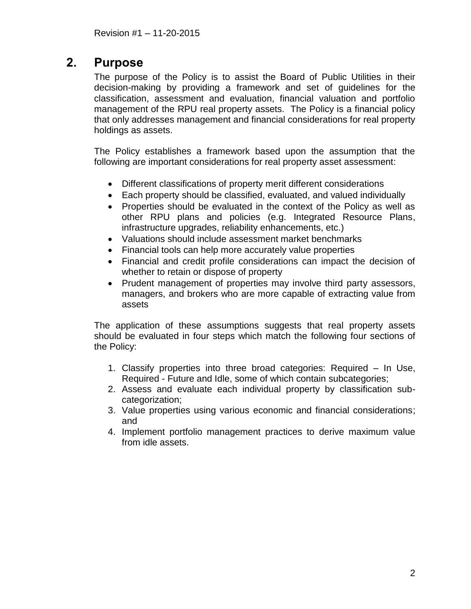# <span id="page-3-0"></span>**2. Purpose**

The purpose of the Policy is to assist the Board of Public Utilities in their decision-making by providing a framework and set of guidelines for the classification, assessment and evaluation, financial valuation and portfolio management of the RPU real property assets. The Policy is a financial policy that only addresses management and financial considerations for real property holdings as assets.

The Policy establishes a framework based upon the assumption that the following are important considerations for real property asset assessment:

- Different classifications of property merit different considerations
- Each property should be classified, evaluated, and valued individually
- Properties should be evaluated in the context of the Policy as well as other RPU plans and policies (e.g. Integrated Resource Plans, infrastructure upgrades, reliability enhancements, etc.)
- Valuations should include assessment market benchmarks
- Financial tools can help more accurately value properties
- Financial and credit profile considerations can impact the decision of whether to retain or dispose of property
- Prudent management of properties may involve third party assessors, managers, and brokers who are more capable of extracting value from assets

The application of these assumptions suggests that real property assets should be evaluated in four steps which match the following four sections of the Policy:

- 1. Classify properties into three broad categories: Required In Use, Required - Future and Idle, some of which contain subcategories;
- 2. Assess and evaluate each individual property by classification subcategorization;
- 3. Value properties using various economic and financial considerations; and
- 4. Implement portfolio management practices to derive maximum value from idle assets.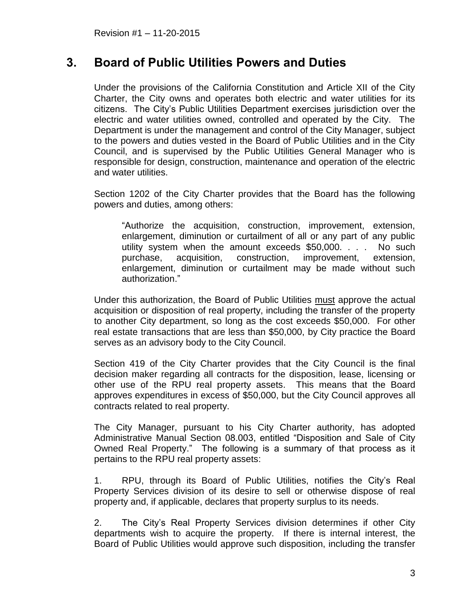# <span id="page-4-0"></span>**3. Board of Public Utilities Powers and Duties**

Under the provisions of the California Constitution and Article XII of the City Charter, the City owns and operates both electric and water utilities for its citizens. The City's Public Utilities Department exercises jurisdiction over the electric and water utilities owned, controlled and operated by the City. The Department is under the management and control of the City Manager, subject to the powers and duties vested in the Board of Public Utilities and in the City Council, and is supervised by the Public Utilities General Manager who is responsible for design, construction, maintenance and operation of the electric and water utilities.

Section 1202 of the City Charter provides that the Board has the following powers and duties, among others:

"Authorize the acquisition, construction, improvement, extension, enlargement, diminution or curtailment of all or any part of any public utility system when the amount exceeds \$50,000. . . . No such purchase, acquisition, construction, improvement, extension, enlargement, diminution or curtailment may be made without such authorization."

Under this authorization, the Board of Public Utilities must approve the actual acquisition or disposition of real property, including the transfer of the property to another City department, so long as the cost exceeds \$50,000. For other real estate transactions that are less than \$50,000, by City practice the Board serves as an advisory body to the City Council.

Section 419 of the City Charter provides that the City Council is the final decision maker regarding all contracts for the disposition, lease, licensing or other use of the RPU real property assets. This means that the Board approves expenditures in excess of \$50,000, but the City Council approves all contracts related to real property.

The City Manager, pursuant to his City Charter authority, has adopted Administrative Manual Section 08.003, entitled "Disposition and Sale of City Owned Real Property." The following is a summary of that process as it pertains to the RPU real property assets:

1. RPU, through its Board of Public Utilities, notifies the City's Real Property Services division of its desire to sell or otherwise dispose of real property and, if applicable, declares that property surplus to its needs.

2. The City's Real Property Services division determines if other City departments wish to acquire the property. If there is internal interest, the Board of Public Utilities would approve such disposition, including the transfer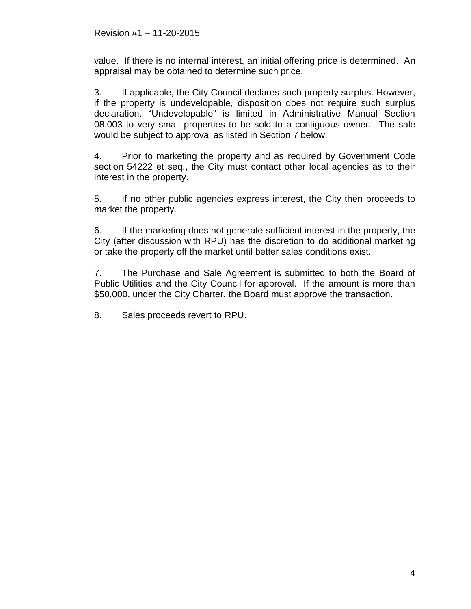value. If there is no internal interest, an initial offering price is determined. An appraisal may be obtained to determine such price.

3. If applicable, the City Council declares such property surplus. However, if the property is undevelopable, disposition does not require such surplus declaration. "Undevelopable" is limited in Administrative Manual Section 08.003 to very small properties to be sold to a contiguous owner. The sale would be subject to approval as listed in Section 7 below.

4. Prior to marketing the property and as required by Government Code section 54222 et seq., the City must contact other local agencies as to their interest in the property.

5. If no other public agencies express interest, the City then proceeds to market the property.

6. If the marketing does not generate sufficient interest in the property, the City (after discussion with RPU) has the discretion to do additional marketing or take the property off the market until better sales conditions exist.

7. The Purchase and Sale Agreement is submitted to both the Board of Public Utilities and the City Council for approval. If the amount is more than \$50,000, under the City Charter, the Board must approve the transaction.

8. Sales proceeds revert to RPU.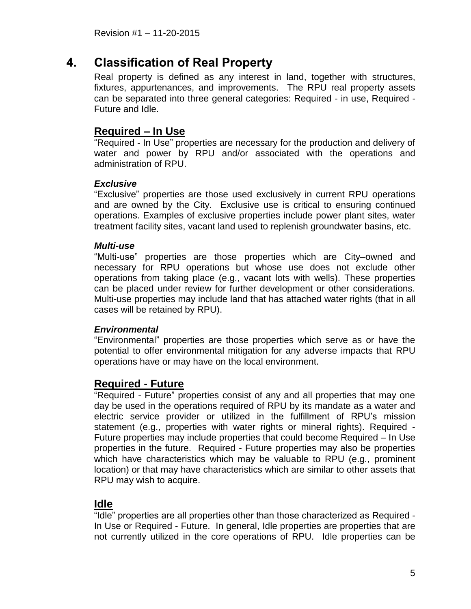# <span id="page-6-0"></span>**4. Classification of Real Property**

Real property is defined as any interest in land, together with structures, fixtures, appurtenances, and improvements. The RPU real property assets can be separated into three general categories: Required - in use, Required - Future and Idle.

### <span id="page-6-1"></span>**Required – In Use**

"Required - In Use" properties are necessary for the production and delivery of water and power by RPU and/or associated with the operations and administration of RPU.

#### *Exclusive*

"Exclusive" properties are those used exclusively in current RPU operations and are owned by the City. Exclusive use is critical to ensuring continued operations. Examples of exclusive properties include power plant sites, water treatment facility sites, vacant land used to replenish groundwater basins, etc.

#### *Multi-use*

"Multi-use" properties are those properties which are City–owned and necessary for RPU operations but whose use does not exclude other operations from taking place (e.g., vacant lots with wells). These properties can be placed under review for further development or other considerations. Multi-use properties may include land that has attached water rights (that in all cases will be retained by RPU).

#### *Environmental*

"Environmental" properties are those properties which serve as or have the potential to offer environmental mitigation for any adverse impacts that RPU operations have or may have on the local environment.

### <span id="page-6-2"></span>**Required - Future**

"Required - Future" properties consist of any and all properties that may one day be used in the operations required of RPU by its mandate as a water and electric service provider or utilized in the fulfillment of RPU's mission statement (e.g., properties with water rights or mineral rights). Required - Future properties may include properties that could become Required – In Use properties in the future. Required - Future properties may also be properties which have characteristics which may be valuable to RPU (e.g., prominent location) or that may have characteristics which are similar to other assets that RPU may wish to acquire.

### <span id="page-6-3"></span>**Idle**

"Idle" properties are all properties other than those characterized as Required - In Use or Required - Future. In general, Idle properties are properties that are not currently utilized in the core operations of RPU. Idle properties can be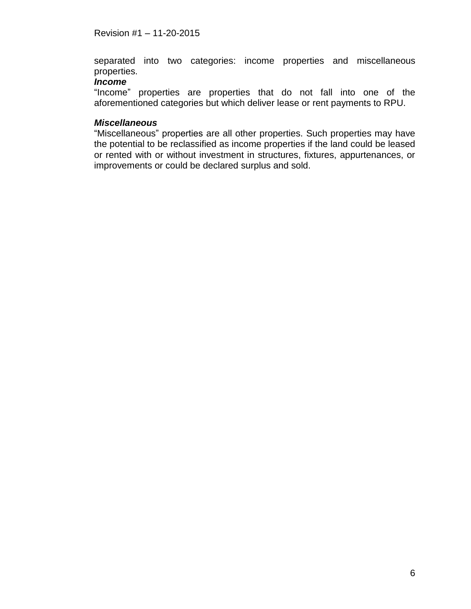separated into two categories: income properties and miscellaneous properties.

#### *Income*

"Income" properties are properties that do not fall into one of the aforementioned categories but which deliver lease or rent payments to RPU.

#### *Miscellaneous*

"Miscellaneous" properties are all other properties. Such properties may have the potential to be reclassified as income properties if the land could be leased or rented with or without investment in structures, fixtures, appurtenances, or improvements or could be declared surplus and sold.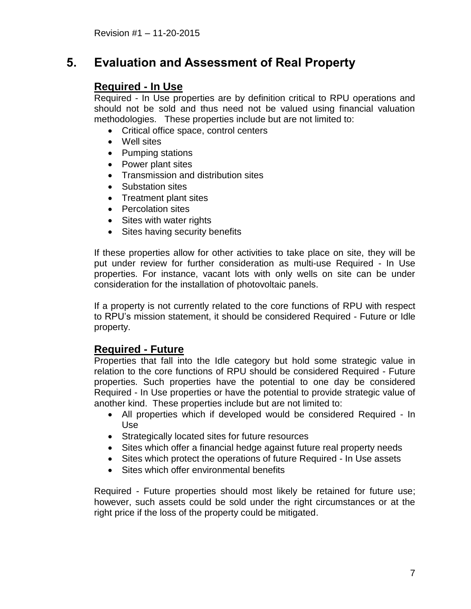# <span id="page-8-1"></span><span id="page-8-0"></span>**5. Evaluation and Assessment of Real Property**

# **Required - In Use**

Required - In Use properties are by definition critical to RPU operations and should not be sold and thus need not be valued using financial valuation methodologies. These properties include but are not limited to:

- Critical office space, control centers
- Well sites
- Pumping stations
- Power plant sites
- Transmission and distribution sites
- Substation sites
- Treatment plant sites
- Percolation sites
- Sites with water rights
- Sites having security benefits

If these properties allow for other activities to take place on site, they will be put under review for further consideration as multi-use Required - In Use properties. For instance, vacant lots with only wells on site can be under consideration for the installation of photovoltaic panels.

If a property is not currently related to the core functions of RPU with respect to RPU's mission statement, it should be considered Required - Future or Idle property.

### <span id="page-8-2"></span>**Required - Future**

Properties that fall into the Idle category but hold some strategic value in relation to the core functions of RPU should be considered Required - Future properties. Such properties have the potential to one day be considered Required - In Use properties or have the potential to provide strategic value of another kind. These properties include but are not limited to:

- All properties which if developed would be considered Required In Use
- Strategically located sites for future resources
- Sites which offer a financial hedge against future real property needs
- Sites which protect the operations of future Required In Use assets
- Sites which offer environmental benefits

Required - Future properties should most likely be retained for future use; however, such assets could be sold under the right circumstances or at the right price if the loss of the property could be mitigated.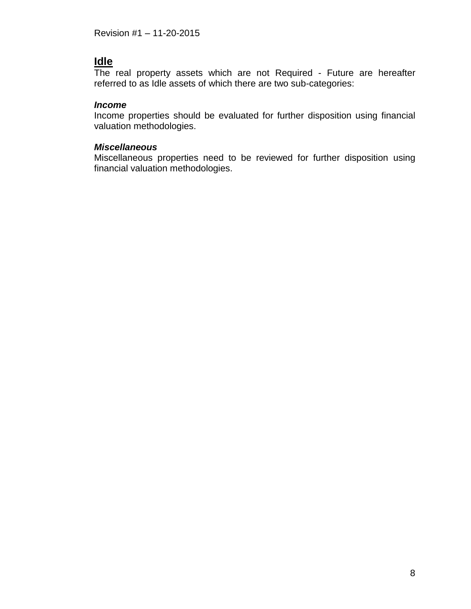# <span id="page-9-0"></span>**Idle**

The real property assets which are not Required - Future are hereafter referred to as Idle assets of which there are two sub-categories:

#### *Income*

Income properties should be evaluated for further disposition using financial valuation methodologies.

#### *Miscellaneous*

Miscellaneous properties need to be reviewed for further disposition using financial valuation methodologies.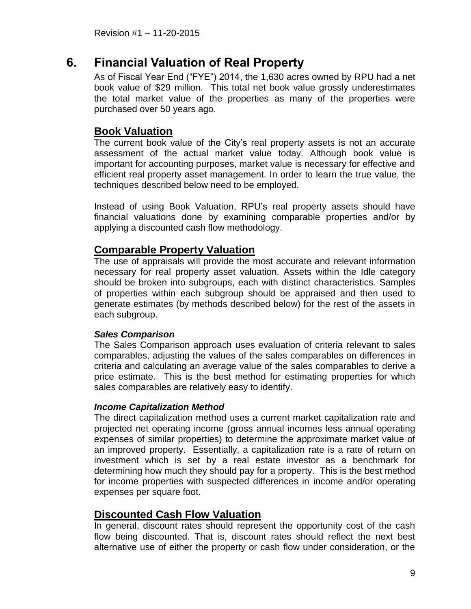# <span id="page-10-0"></span>**6. Financial Valuation of Real Property**

As of Fiscal Year End ("FYE") 2014, the 1,630 acres owned by RPU had a net book value of \$29 million. This total net book value grossly underestimates the total market value of the properties as many of the properties were purchased over 50 years ago.

### <span id="page-10-1"></span>**Book Valuation**

The current book value of the City's real property assets is not an accurate assessment of the actual market value today. Although book value is important for accounting purposes, market value is necessary for effective and efficient real property asset management. In order to learn the true value, the techniques described below need to be employed.

Instead of using Book Valuation, RPU's real property assets should have financial valuations done by examining comparable properties and/or by applying a discounted cash flow methodology.

# <span id="page-10-2"></span>**Comparable Property Valuation**

The use of appraisals will provide the most accurate and relevant information necessary for real property asset valuation. Assets within the Idle category should be broken into subgroups, each with distinct characteristics. Samples of properties within each subgroup should be appraised and then used to generate estimates (by methods described below) for the rest of the assets in each subgroup.

#### *Sales Comparison*

The Sales Comparison approach uses evaluation of criteria relevant to sales comparables, adjusting the values of the sales comparables on differences in criteria and calculating an average value of the sales comparables to derive a price estimate. This is the best method for estimating properties for which sales comparables are relatively easy to identify.

#### *Income Capitalization Method*

The direct capitalization method uses a current market capitalization rate and projected net operating income (gross annual incomes less annual operating expenses of similar properties) to determine the approximate market value of an improved property. Essentially, a capitalization rate is a rate of return on investment which is set by a real estate investor as a benchmark for determining how much they should pay for a property. This is the best method for income properties with suspected differences in income and/or operating expenses per square foot.

#### <span id="page-10-3"></span>**Discounted Cash Flow Valuation**

In general, discount rates should represent the opportunity cost of the cash flow being discounted. That is, discount rates should reflect the next best alternative use of either the property or cash flow under consideration, or the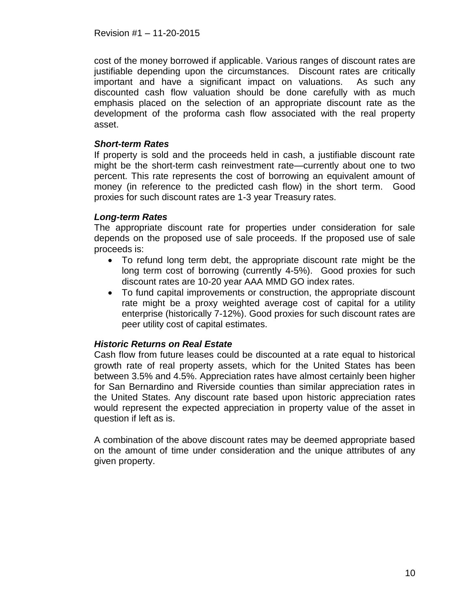cost of the money borrowed if applicable. Various ranges of discount rates are justifiable depending upon the circumstances. Discount rates are critically important and have a significant impact on valuations. As such any discounted cash flow valuation should be done carefully with as much emphasis placed on the selection of an appropriate discount rate as the development of the proforma cash flow associated with the real property asset.

#### *Short-term Rates*

If property is sold and the proceeds held in cash, a justifiable discount rate might be the short-term cash reinvestment rate—currently about one to two percent. This rate represents the cost of borrowing an equivalent amount of money (in reference to the predicted cash flow) in the short term. Good proxies for such discount rates are 1-3 year Treasury rates.

#### *Long-term Rates*

The appropriate discount rate for properties under consideration for sale depends on the proposed use of sale proceeds. If the proposed use of sale proceeds is:

- To refund long term debt, the appropriate discount rate might be the long term cost of borrowing (currently 4-5%). Good proxies for such discount rates are 10-20 year AAA MMD GO index rates.
- To fund capital improvements or construction, the appropriate discount rate might be a proxy weighted average cost of capital for a utility enterprise (historically 7-12%). Good proxies for such discount rates are peer utility cost of capital estimates.

#### *Historic Returns on Real Estate*

Cash flow from future leases could be discounted at a rate equal to historical growth rate of real property assets, which for the United States has been between 3.5% and 4.5%. Appreciation rates have almost certainly been higher for San Bernardino and Riverside counties than similar appreciation rates in the United States. Any discount rate based upon historic appreciation rates would represent the expected appreciation in property value of the asset in question if left as is.

A combination of the above discount rates may be deemed appropriate based on the amount of time under consideration and the unique attributes of any given property.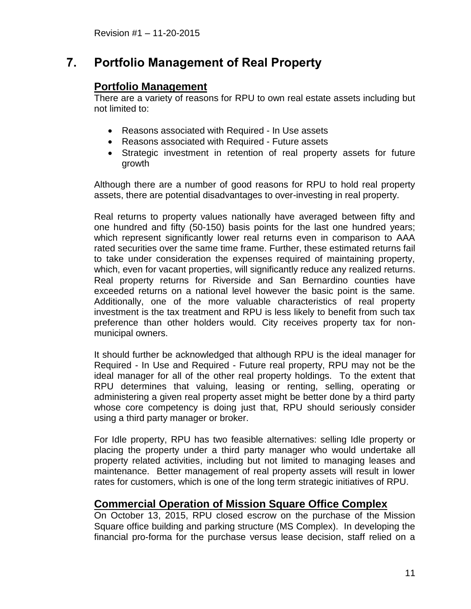# <span id="page-12-1"></span><span id="page-12-0"></span>**7. Portfolio Management of Real Property**

### **Portfolio Management**

There are a variety of reasons for RPU to own real estate assets including but not limited to:

- Reasons associated with Required In Use assets
- Reasons associated with Required Future assets
- Strategic investment in retention of real property assets for future growth

Although there are a number of good reasons for RPU to hold real property assets, there are potential disadvantages to over-investing in real property.

Real returns to property values nationally have averaged between fifty and one hundred and fifty (50-150) basis points for the last one hundred years; which represent significantly lower real returns even in comparison to AAA rated securities over the same time frame. Further, these estimated returns fail to take under consideration the expenses required of maintaining property, which, even for vacant properties, will significantly reduce any realized returns. Real property returns for Riverside and San Bernardino counties have exceeded returns on a national level however the basic point is the same. Additionally, one of the more valuable characteristics of real property investment is the tax treatment and RPU is less likely to benefit from such tax preference than other holders would. City receives property tax for nonmunicipal owners.

It should further be acknowledged that although RPU is the ideal manager for Required - In Use and Required - Future real property, RPU may not be the ideal manager for all of the other real property holdings. To the extent that RPU determines that valuing, leasing or renting, selling, operating or administering a given real property asset might be better done by a third party whose core competency is doing just that, RPU should seriously consider using a third party manager or broker.

For Idle property, RPU has two feasible alternatives: selling Idle property or placing the property under a third party manager who would undertake all property related activities, including but not limited to managing leases and maintenance. Better management of real property assets will result in lower rates for customers, which is one of the long term strategic initiatives of RPU.

# <span id="page-12-2"></span>**Commercial Operation of Mission Square Office Complex**

On October 13, 2015, RPU closed escrow on the purchase of the Mission Square office building and parking structure (MS Complex). In developing the financial pro-forma for the purchase versus lease decision, staff relied on a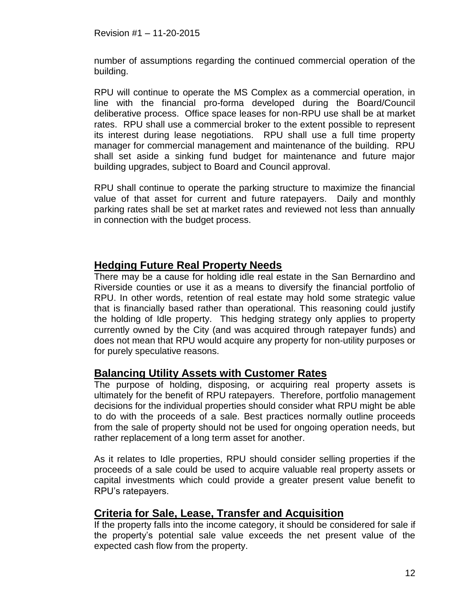number of assumptions regarding the continued commercial operation of the building.

RPU will continue to operate the MS Complex as a commercial operation, in line with the financial pro-forma developed during the Board/Council deliberative process. Office space leases for non-RPU use shall be at market rates. RPU shall use a commercial broker to the extent possible to represent its interest during lease negotiations. RPU shall use a full time property manager for commercial management and maintenance of the building. RPU shall set aside a sinking fund budget for maintenance and future major building upgrades, subject to Board and Council approval.

RPU shall continue to operate the parking structure to maximize the financial value of that asset for current and future ratepayers. Daily and monthly parking rates shall be set at market rates and reviewed not less than annually in connection with the budget process.

### <span id="page-13-0"></span>**Hedging Future Real Property Needs**

There may be a cause for holding idle real estate in the San Bernardino and Riverside counties or use it as a means to diversify the financial portfolio of RPU. In other words, retention of real estate may hold some strategic value that is financially based rather than operational. This reasoning could justify the holding of Idle property. This hedging strategy only applies to property currently owned by the City (and was acquired through ratepayer funds) and does not mean that RPU would acquire any property for non-utility purposes or for purely speculative reasons.

#### <span id="page-13-1"></span>**Balancing Utility Assets with Customer Rates**

The purpose of holding, disposing, or acquiring real property assets is ultimately for the benefit of RPU ratepayers. Therefore, portfolio management decisions for the individual properties should consider what RPU might be able to do with the proceeds of a sale. Best practices normally outline proceeds from the sale of property should not be used for ongoing operation needs, but rather replacement of a long term asset for another.

As it relates to Idle properties, RPU should consider selling properties if the proceeds of a sale could be used to acquire valuable real property assets or capital investments which could provide a greater present value benefit to RPU's ratepayers.

### <span id="page-13-2"></span>**Criteria for Sale, Lease, Transfer and Acquisition**

If the property falls into the income category, it should be considered for sale if the property's potential sale value exceeds the net present value of the expected cash flow from the property.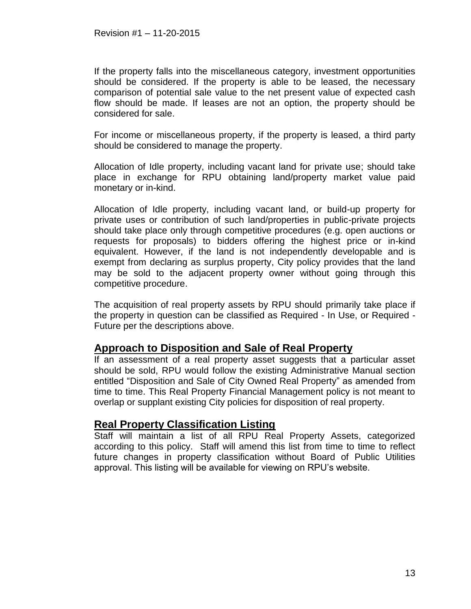If the property falls into the miscellaneous category, investment opportunities should be considered. If the property is able to be leased, the necessary comparison of potential sale value to the net present value of expected cash flow should be made. If leases are not an option, the property should be considered for sale.

For income or miscellaneous property, if the property is leased, a third party should be considered to manage the property.

Allocation of Idle property, including vacant land for private use; should take place in exchange for RPU obtaining land/property market value paid monetary or in-kind.

Allocation of Idle property, including vacant land, or build-up property for private uses or contribution of such land/properties in public-private projects should take place only through competitive procedures (e.g. open auctions or requests for proposals) to bidders offering the highest price or in-kind equivalent. However, if the land is not independently developable and is exempt from declaring as surplus property, City policy provides that the land may be sold to the adjacent property owner without going through this competitive procedure.

The acquisition of real property assets by RPU should primarily take place if the property in question can be classified as Required - In Use, or Required - Future per the descriptions above.

### <span id="page-14-0"></span>**Approach to Disposition and Sale of Real Property**

If an assessment of a real property asset suggests that a particular asset should be sold, RPU would follow the existing Administrative Manual section entitled "Disposition and Sale of City Owned Real Property" as amended from time to time. This Real Property Financial Management policy is not meant to overlap or supplant existing City policies for disposition of real property.

### **Real Property Classification Listing**

Staff will maintain a list of all RPU Real Property Assets, categorized according to this policy. Staff will amend this list from time to time to reflect future changes in property classification without Board of Public Utilities approval. This listing will be available for viewing on RPU's website.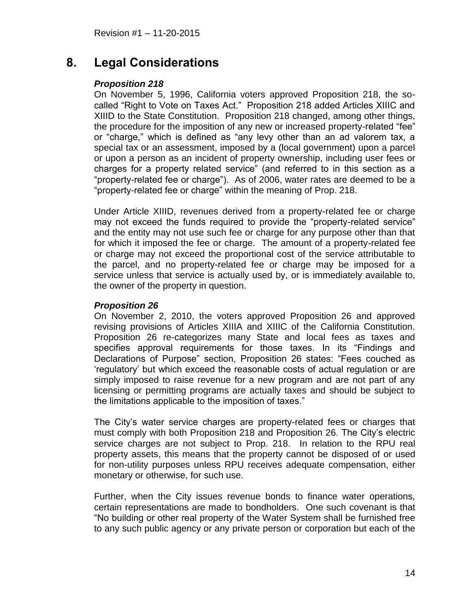# <span id="page-15-0"></span>**8. Legal Considerations**

#### *Proposition 218*

On November 5, 1996, California voters approved Proposition 218, the socalled "Right to Vote on Taxes Act." Proposition 218 added Articles XIIIC and XIIID to the State Constitution. Proposition 218 changed, among other things, the procedure for the imposition of any new or increased property-related "fee" or "charge," which is defined as "any levy other than an ad valorem tax, a special tax or an assessment, imposed by a (local government) upon a parcel or upon a person as an incident of property ownership, including user fees or charges for a property related service" (and referred to in this section as a "property-related fee or charge"). As of 2006, water rates are deemed to be a "property-related fee or charge" within the meaning of Prop. 218.

Under Article XIIID, revenues derived from a property-related fee or charge may not exceed the funds required to provide the "property-related service" and the entity may not use such fee or charge for any purpose other than that for which it imposed the fee or charge. The amount of a property-related fee or charge may not exceed the proportional cost of the service attributable to the parcel, and no property-related fee or charge may be imposed for a service unless that service is actually used by, or is immediately available to, the owner of the property in question.

#### *Proposition 26*

On November 2, 2010, the voters approved Proposition 26 and approved revising provisions of Articles XIIIA and XIIIC of the California Constitution. Proposition 26 re-categorizes many State and local fees as taxes and specifies approval requirements for those taxes. In its "Findings and Declarations of Purpose" section, Proposition 26 states: "Fees couched as 'regulatory' but which exceed the reasonable costs of actual regulation or are simply imposed to raise revenue for a new program and are not part of any licensing or permitting programs are actually taxes and should be subject to the limitations applicable to the imposition of taxes."

The City's water service charges are property-related fees or charges that must comply with both Proposition 218 and Proposition 26. The City's electric service charges are not subject to Prop. 218. In relation to the RPU real property assets, this means that the property cannot be disposed of or used for non-utility purposes unless RPU receives adequate compensation, either monetary or otherwise, for such use.

Further, when the City issues revenue bonds to finance water operations, certain representations are made to bondholders. One such covenant is that "No building or other real property of the Water System shall be furnished free to any such public agency or any private person or corporation but each of the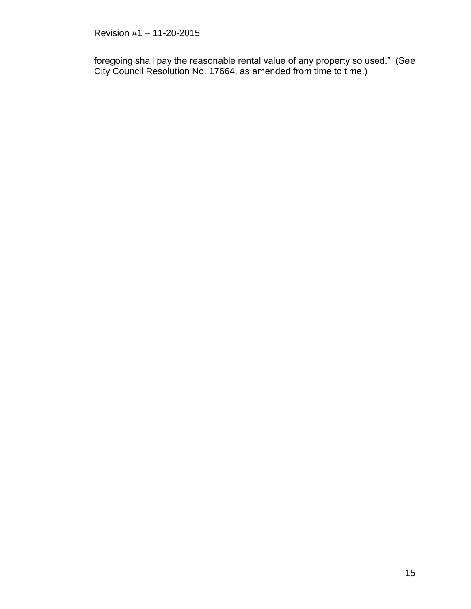foregoing shall pay the reasonable rental value of any property so used." (See City Council Resolution No. 17664, as amended from time to time.)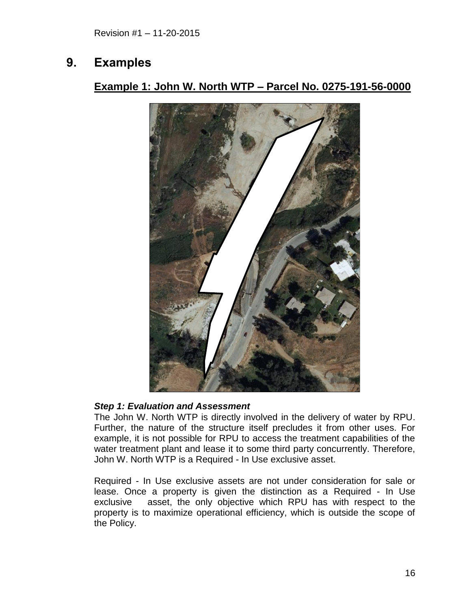# <span id="page-17-1"></span><span id="page-17-0"></span>**9. Examples**

# **Example 1: John W. North WTP – Parcel No. 0275-191-56-0000**



#### *Step 1: Evaluation and Assessment*

The John W. North WTP is directly involved in the delivery of water by RPU. Further, the nature of the structure itself precludes it from other uses. For example, it is not possible for RPU to access the treatment capabilities of the water treatment plant and lease it to some third party concurrently. Therefore, John W. North WTP is a Required - In Use exclusive asset.

Required - In Use exclusive assets are not under consideration for sale or lease. Once a property is given the distinction as a Required - In Use exclusive asset, the only objective which RPU has with respect to the property is to maximize operational efficiency, which is outside the scope of the Policy.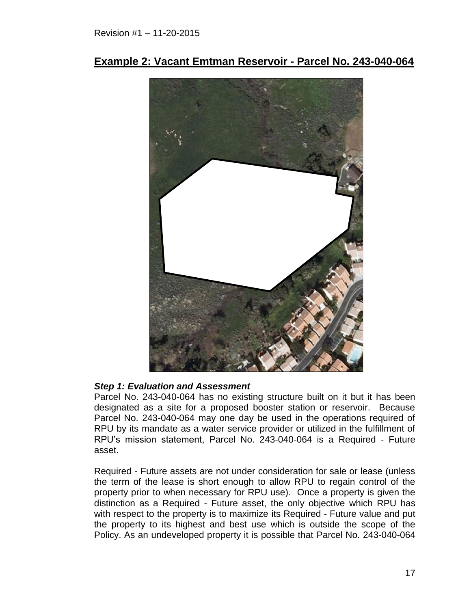

<span id="page-18-0"></span>**Example 2: Vacant Emtman Reservoir - Parcel No. 243-040-064**

#### *Step 1: Evaluation and Assessment*

Parcel No. 243-040-064 has no existing structure built on it but it has been designated as a site for a proposed booster station or reservoir. Because Parcel No. 243-040-064 may one day be used in the operations required of RPU by its mandate as a water service provider or utilized in the fulfillment of RPU's mission statement, Parcel No. 243-040-064 is a Required - Future asset.

Required - Future assets are not under consideration for sale or lease (unless the term of the lease is short enough to allow RPU to regain control of the property prior to when necessary for RPU use). Once a property is given the distinction as a Required - Future asset, the only objective which RPU has with respect to the property is to maximize its Required - Future value and put the property to its highest and best use which is outside the scope of the Policy. As an undeveloped property it is possible that Parcel No. 243-040-064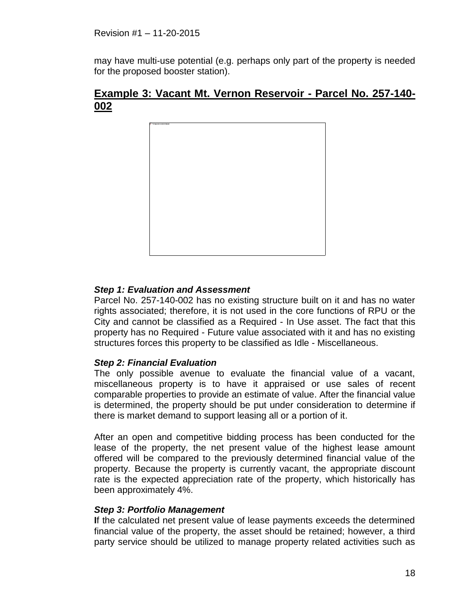may have multi-use potential (e.g. perhaps only part of the property is needed for the proposed booster station).

### <span id="page-19-0"></span>**Example 3: Vacant Mt. Vernon Reservoir - Parcel No. 257-140- 002**



#### *Step 1: Evaluation and Assessment*

Parcel No. 257-140-002 has no existing structure built on it and has no water rights associated; therefore, it is not used in the core functions of RPU or the City and cannot be classified as a Required - In Use asset. The fact that this property has no Required - Future value associated with it and has no existing structures forces this property to be classified as Idle - Miscellaneous.

#### *Step 2: Financial Evaluation*

The only possible avenue to evaluate the financial value of a vacant, miscellaneous property is to have it appraised or use sales of recent comparable properties to provide an estimate of value. After the financial value is determined, the property should be put under consideration to determine if there is market demand to support leasing all or a portion of it.

After an open and competitive bidding process has been conducted for the lease of the property, the net present value of the highest lease amount offered will be compared to the previously determined financial value of the property. Because the property is currently vacant, the appropriate discount rate is the expected appreciation rate of the property, which historically has been approximately 4%.

#### *Step 3: Portfolio Management*

**I**f the calculated net present value of lease payments exceeds the determined financial value of the property, the asset should be retained; however, a third party service should be utilized to manage property related activities such as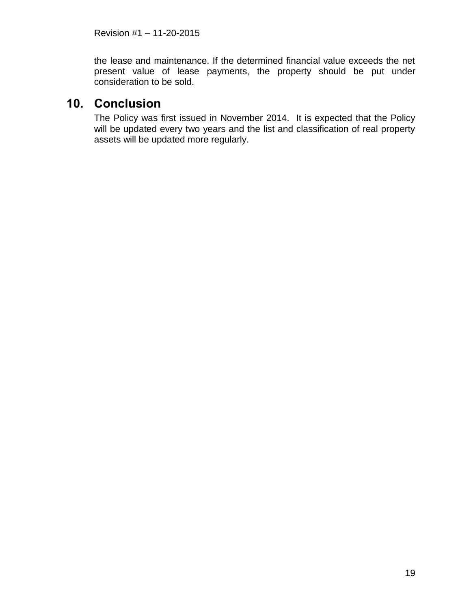the lease and maintenance. If the determined financial value exceeds the net present value of lease payments, the property should be put under consideration to be sold.

# <span id="page-20-0"></span>**10. Conclusion**

The Policy was first issued in November 2014. It is expected that the Policy will be updated every two years and the list and classification of real property assets will be updated more regularly.